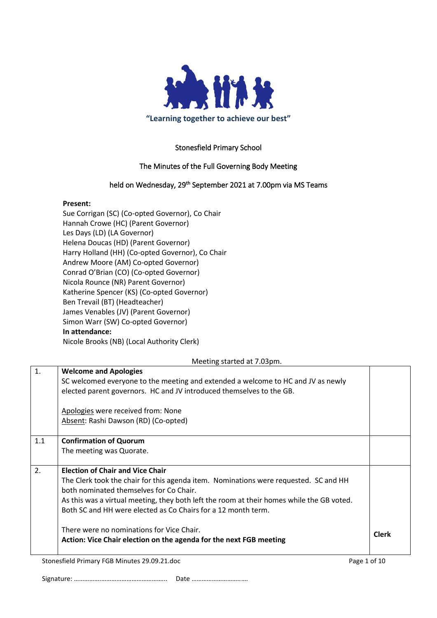

## Stonesfield Primary School

## The Minutes of the Full Governing Body Meeting

## held on Wednesday, 29<sup>th</sup> September 2021 at 7.00pm via MS Teams

#### **Present:**

Sue Corrigan (SC) (Co-opted Governor), Co Chair Hannah Crowe (HC) (Parent Governor) Les Days (LD) (LA Governor) Helena Doucas (HD) (Parent Governor) Harry Holland (HH) (Co-opted Governor), Co Chair Andrew Moore (AM) Co-opted Governor) Conrad O'Brian (CO) (Co-opted Governor) Nicola Rounce (NR) Parent Governor) Katherine Spencer (KS) (Co-opted Governor) Ben Trevail (BT) (Headteacher) James Venables (JV) (Parent Governor) Simon Warr (SW) Co-opted Governor) **In attendance:** Nicole Brooks (NB) (Local Authority Clerk)

#### Meeting started at 7.03pm.

| $\mathbf{1}$ . | <b>Welcome and Apologies</b>                                                              |              |  |
|----------------|-------------------------------------------------------------------------------------------|--------------|--|
|                | SC welcomed everyone to the meeting and extended a welcome to HC and JV as newly          |              |  |
|                | elected parent governors. HC and JV introduced themselves to the GB.                      |              |  |
|                | Apologies were received from: None                                                        |              |  |
|                | Absent: Rashi Dawson (RD) (Co-opted)                                                      |              |  |
| 1.1            | <b>Confirmation of Quorum</b>                                                             |              |  |
|                | The meeting was Quorate.                                                                  |              |  |
| 2.             | <b>Election of Chair and Vice Chair</b>                                                   |              |  |
|                | The Clerk took the chair for this agenda item. Nominations were requested. SC and HH      |              |  |
|                | both nominated themselves for Co Chair.                                                   |              |  |
|                | As this was a virtual meeting, they both left the room at their homes while the GB voted. |              |  |
|                | Both SC and HH were elected as Co Chairs for a 12 month term.                             |              |  |
|                | There were no nominations for Vice Chair.                                                 | <b>Clerk</b> |  |
|                | Action: Vice Chair election on the agenda for the next FGB meeting                        |              |  |
|                |                                                                                           |              |  |

Stonesfield Primary FGB Minutes 29.09.21.doc Page 1 of 10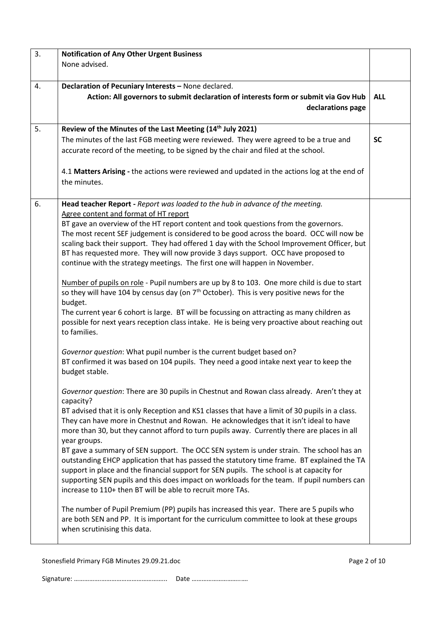| 3. | <b>Notification of Any Other Urgent Business</b>                                                                                                                                      |            |  |  |  |
|----|---------------------------------------------------------------------------------------------------------------------------------------------------------------------------------------|------------|--|--|--|
|    | None advised.                                                                                                                                                                         |            |  |  |  |
|    |                                                                                                                                                                                       |            |  |  |  |
| 4. | Declaration of Pecuniary Interests - None declared.                                                                                                                                   |            |  |  |  |
|    | Action: All governors to submit declaration of interests form or submit via Gov Hub                                                                                                   | <b>ALL</b> |  |  |  |
|    | declarations page                                                                                                                                                                     |            |  |  |  |
|    |                                                                                                                                                                                       |            |  |  |  |
| 5. | Review of the Minutes of the Last Meeting (14th July 2021)                                                                                                                            |            |  |  |  |
|    | The minutes of the last FGB meeting were reviewed. They were agreed to be a true and                                                                                                  | <b>SC</b>  |  |  |  |
|    | accurate record of the meeting, to be signed by the chair and filed at the school.                                                                                                    |            |  |  |  |
|    |                                                                                                                                                                                       |            |  |  |  |
|    | 4.1 Matters Arising - the actions were reviewed and updated in the actions log at the end of                                                                                          |            |  |  |  |
|    | the minutes.                                                                                                                                                                          |            |  |  |  |
| 6. | Head teacher Report - Report was loaded to the hub in advance of the meeting.                                                                                                         |            |  |  |  |
|    | Agree content and format of HT report                                                                                                                                                 |            |  |  |  |
|    | BT gave an overview of the HT report content and took questions from the governors.                                                                                                   |            |  |  |  |
|    | The most recent SEF judgement is considered to be good across the board. OCC will now be                                                                                              |            |  |  |  |
|    | scaling back their support. They had offered 1 day with the School Improvement Officer, but                                                                                           |            |  |  |  |
|    | BT has requested more. They will now provide 3 days support. OCC have proposed to                                                                                                     |            |  |  |  |
|    | continue with the strategy meetings. The first one will happen in November.                                                                                                           |            |  |  |  |
|    |                                                                                                                                                                                       |            |  |  |  |
|    | Number of pupils on role - Pupil numbers are up by 8 to 103. One more child is due to start                                                                                           |            |  |  |  |
|    | so they will have 104 by census day (on 7 <sup>th</sup> October). This is very positive news for the                                                                                  |            |  |  |  |
|    | budget.                                                                                                                                                                               |            |  |  |  |
|    | The current year 6 cohort is large. BT will be focussing on attracting as many children as                                                                                            |            |  |  |  |
|    | possible for next years reception class intake. He is being very proactive about reaching out<br>to families.                                                                         |            |  |  |  |
|    |                                                                                                                                                                                       |            |  |  |  |
|    | Governor question: What pupil number is the current budget based on?                                                                                                                  |            |  |  |  |
|    | BT confirmed it was based on 104 pupils. They need a good intake next year to keep the                                                                                                |            |  |  |  |
|    | budget stable.                                                                                                                                                                        |            |  |  |  |
|    |                                                                                                                                                                                       |            |  |  |  |
|    | Governor question: There are 30 pupils in Chestnut and Rowan class already. Aren't they at                                                                                            |            |  |  |  |
|    | capacity?                                                                                                                                                                             |            |  |  |  |
|    | BT advised that it is only Reception and KS1 classes that have a limit of 30 pupils in a class.                                                                                       |            |  |  |  |
|    | They can have more in Chestnut and Rowan. He acknowledges that it isn't ideal to have                                                                                                 |            |  |  |  |
|    | more than 30, but they cannot afford to turn pupils away. Currently there are places in all                                                                                           |            |  |  |  |
|    | year groups.                                                                                                                                                                          |            |  |  |  |
|    | BT gave a summary of SEN support. The OCC SEN system is under strain. The school has an<br>outstanding EHCP application that has passed the statutory time frame. BT explained the TA |            |  |  |  |
|    | support in place and the financial support for SEN pupils. The school is at capacity for                                                                                              |            |  |  |  |
|    | supporting SEN pupils and this does impact on workloads for the team. If pupil numbers can                                                                                            |            |  |  |  |
|    | increase to 110+ then BT will be able to recruit more TAs.                                                                                                                            |            |  |  |  |
|    |                                                                                                                                                                                       |            |  |  |  |
|    | The number of Pupil Premium (PP) pupils has increased this year. There are 5 pupils who                                                                                               |            |  |  |  |
|    | are both SEN and PP. It is important for the curriculum committee to look at these groups                                                                                             |            |  |  |  |
|    | when scrutinising this data.                                                                                                                                                          |            |  |  |  |
|    |                                                                                                                                                                                       |            |  |  |  |

Stonesfield Primary FGB Minutes 29.09.21.doc Page 2 of 10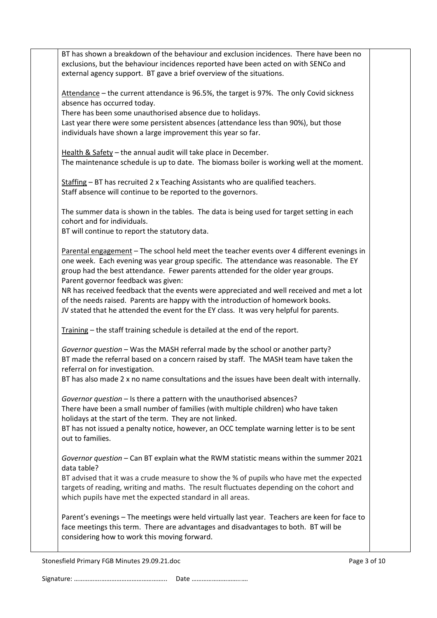Stonesfield Primary FGB Minutes 29.09.21.doc **Page 3 of 10** and 2011 12:00 and 2012 12:00 Page 3 of 10 BT has shown a breakdown of the behaviour and exclusion incidences. There have been no exclusions, but the behaviour incidences reported have been acted on with SENCo and external agency support. BT gave a brief overview of the situations. Attendance – the current attendance is 96.5%, the target is 97%. The only Covid sickness absence has occurred today. There has been some unauthorised absence due to holidays. Last year there were some persistent absences (attendance less than 90%), but those individuals have shown a large improvement this year so far. Health & Safety – the annual audit will take place in December. The maintenance schedule is up to date. The biomass boiler is working well at the moment. Staffing – BT has recruited 2 x Teaching Assistants who are qualified teachers. Staff absence will continue to be reported to the governors. The summer data is shown in the tables. The data is being used for target setting in each cohort and for individuals. BT will continue to report the statutory data. Parental engagement – The school held meet the teacher events over 4 different evenings in one week. Each evening was year group specific. The attendance was reasonable. The EY group had the best attendance. Fewer parents attended for the older year groups. Parent governor feedback was given: NR has received feedback that the events were appreciated and well received and met a lot of the needs raised. Parents are happy with the introduction of homework books. JV stated that he attended the event for the EY class. It was very helpful for parents. Training – the staff training schedule is detailed at the end of the report. *Governor question* – Was the MASH referral made by the school or another party? BT made the referral based on a concern raised by staff. The MASH team have taken the referral on for investigation. BT has also made 2 x no name consultations and the issues have been dealt with internally. *Governor question* – Is there a pattern with the unauthorised absences? There have been a small number of families (with multiple children) who have taken holidays at the start of the term. They are not linked. BT has not issued a penalty notice, however, an OCC template warning letter is to be sent out to families. *Governor question* – Can BT explain what the RWM statistic means within the summer 2021 data table? BT advised that it was a crude measure to show the % of pupils who have met the expected targets of reading, writing and maths. The result fluctuates depending on the cohort and which pupils have met the expected standard in all areas. Parent's evenings – The meetings were held virtually last year. Teachers are keen for face to face meetings this term. There are advantages and disadvantages to both. BT will be considering how to work this moving forward.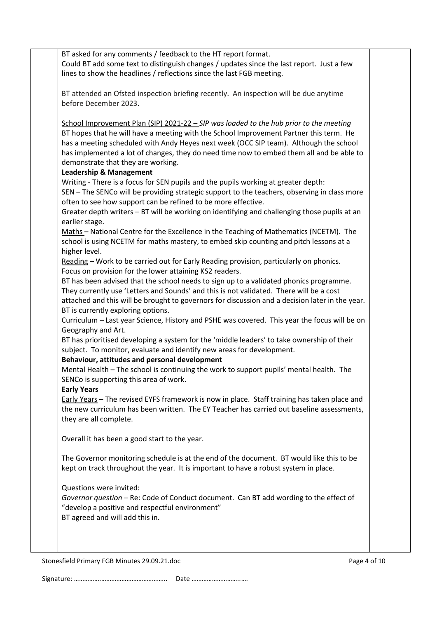BT asked for any comments / feedback to the HT report format. Could BT add some text to distinguish changes / updates since the last report. Just a few lines to show the headlines / reflections since the last FGB meeting.

BT attended an Ofsted inspection briefing recently. An inspection will be due anytime before December 2023.

School Improvement Plan (SIP) 2021-22 – *SIP was loaded to the hub prior to the meeting* BT hopes that he will have a meeting with the School Improvement Partner this term. He has a meeting scheduled with Andy Heyes next week (OCC SIP team). Although the school has implemented a lot of changes, they do need time now to embed them all and be able to demonstrate that they are working.

#### **Leadership & Management**

Writing - There is a focus for SEN pupils and the pupils working at greater depth:

SEN – The SENCo will be providing strategic support to the teachers, observing in class more often to see how support can be refined to be more effective.

Greater depth writers – BT will be working on identifying and challenging those pupils at an earlier stage.

Maths – National Centre for the Excellence in the Teaching of Mathematics (NCETM). The school is using NCETM for maths mastery, to embed skip counting and pitch lessons at a higher level.

Reading – Work to be carried out for Early Reading provision, particularly on phonics. Focus on provision for the lower attaining KS2 readers.

BT has been advised that the school needs to sign up to a validated phonics programme. They currently use 'Letters and Sounds' and this is not validated. There will be a cost attached and this will be brought to governors for discussion and a decision later in the year. BT is currently exploring options.

Curriculum – Last year Science, History and PSHE was covered. This year the focus will be on Geography and Art.

BT has prioritised developing a system for the 'middle leaders' to take ownership of their subject. To monitor, evaluate and identify new areas for development.

## **Behaviour, attitudes and personal development**

Mental Health – The school is continuing the work to support pupils' mental health. The SENCo is supporting this area of work.

#### **Early Years**

Early Years – The revised EYFS framework is now in place. Staff training has taken place and the new curriculum has been written. The EY Teacher has carried out baseline assessments, they are all complete.

Overall it has been a good start to the year.

The Governor monitoring schedule is at the end of the document. BT would like this to be kept on track throughout the year. It is important to have a robust system in place.

Questions were invited:

*Governor question* – Re: Code of Conduct document. Can BT add wording to the effect of "develop a positive and respectful environment" BT agreed and will add this in.

Stonesfield Primary FGB Minutes 29.09.21.doc **Page 4 of 10** Page 4 of 10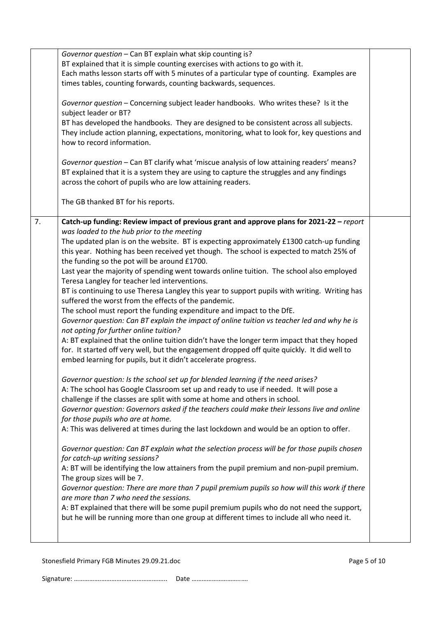|    | Governor question - Can BT explain what skip counting is?<br>BT explained that it is simple counting exercises with actions to go with it.<br>Each maths lesson starts off with 5 minutes of a particular type of counting. Examples are<br>times tables, counting forwards, counting backwards, sequences.                                                                                                                                                                                                                                                                                                                                                                                                                                                                                                                                                                                                                                                                                                                                                                                                                                                                                                                                                                                                                                                                                                                                                                                                                                                                                                                                                                                                                                                                                                                                                                                                                                                                                                                                                                                                                                                                                                                                                    |  |
|----|----------------------------------------------------------------------------------------------------------------------------------------------------------------------------------------------------------------------------------------------------------------------------------------------------------------------------------------------------------------------------------------------------------------------------------------------------------------------------------------------------------------------------------------------------------------------------------------------------------------------------------------------------------------------------------------------------------------------------------------------------------------------------------------------------------------------------------------------------------------------------------------------------------------------------------------------------------------------------------------------------------------------------------------------------------------------------------------------------------------------------------------------------------------------------------------------------------------------------------------------------------------------------------------------------------------------------------------------------------------------------------------------------------------------------------------------------------------------------------------------------------------------------------------------------------------------------------------------------------------------------------------------------------------------------------------------------------------------------------------------------------------------------------------------------------------------------------------------------------------------------------------------------------------------------------------------------------------------------------------------------------------------------------------------------------------------------------------------------------------------------------------------------------------------------------------------------------------------------------------------------------------|--|
|    | Governor question - Concerning subject leader handbooks. Who writes these? Is it the<br>subject leader or BT?<br>BT has developed the handbooks. They are designed to be consistent across all subjects.<br>They include action planning, expectations, monitoring, what to look for, key questions and<br>how to record information.                                                                                                                                                                                                                                                                                                                                                                                                                                                                                                                                                                                                                                                                                                                                                                                                                                                                                                                                                                                                                                                                                                                                                                                                                                                                                                                                                                                                                                                                                                                                                                                                                                                                                                                                                                                                                                                                                                                          |  |
|    | Governor question - Can BT clarify what 'miscue analysis of low attaining readers' means?<br>BT explained that it is a system they are using to capture the struggles and any findings<br>across the cohort of pupils who are low attaining readers.                                                                                                                                                                                                                                                                                                                                                                                                                                                                                                                                                                                                                                                                                                                                                                                                                                                                                                                                                                                                                                                                                                                                                                                                                                                                                                                                                                                                                                                                                                                                                                                                                                                                                                                                                                                                                                                                                                                                                                                                           |  |
|    | The GB thanked BT for his reports.                                                                                                                                                                                                                                                                                                                                                                                                                                                                                                                                                                                                                                                                                                                                                                                                                                                                                                                                                                                                                                                                                                                                                                                                                                                                                                                                                                                                                                                                                                                                                                                                                                                                                                                                                                                                                                                                                                                                                                                                                                                                                                                                                                                                                             |  |
| 7. | Catch-up funding: Review impact of previous grant and approve plans for 2021-22 - report<br>was loaded to the hub prior to the meeting<br>The updated plan is on the website. BT is expecting approximately £1300 catch-up funding<br>this year. Nothing has been received yet though. The school is expected to match 25% of<br>the funding so the pot will be around £1700.<br>Last year the majority of spending went towards online tuition. The school also employed<br>Teresa Langley for teacher led interventions.<br>BT is continuing to use Theresa Langley this year to support pupils with writing. Writing has<br>suffered the worst from the effects of the pandemic.<br>The school must report the funding expenditure and impact to the DfE.<br>Governor question: Can BT explain the impact of online tuition vs teacher led and why he is<br>not opting for further online tuition?<br>A: BT explained that the online tuition didn't have the longer term impact that they hoped<br>for. It started off very well, but the engagement dropped off quite quickly. It did well to<br>embed learning for pupils, but it didn't accelerate progress.<br>Governor question: Is the school set up for blended learning if the need arises?<br>A: The school has Google Classroom set up and ready to use if needed. It will pose a<br>challenge if the classes are split with some at home and others in school.<br>Governor question: Governors asked if the teachers could make their lessons live and online<br>for those pupils who are at home.<br>A: This was delivered at times during the last lockdown and would be an option to offer.<br>Governor question: Can BT explain what the selection process will be for those pupils chosen<br>for catch-up writing sessions?<br>A: BT will be identifying the low attainers from the pupil premium and non-pupil premium.<br>The group sizes will be 7.<br>Governor question: There are more than 7 pupil premium pupils so how will this work if there<br>are more than 7 who need the sessions.<br>A: BT explained that there will be some pupil premium pupils who do not need the support,<br>but he will be running more than one group at different times to include all who need it. |  |
|    |                                                                                                                                                                                                                                                                                                                                                                                                                                                                                                                                                                                                                                                                                                                                                                                                                                                                                                                                                                                                                                                                                                                                                                                                                                                                                                                                                                                                                                                                                                                                                                                                                                                                                                                                                                                                                                                                                                                                                                                                                                                                                                                                                                                                                                                                |  |

Stonesfield Primary FGB Minutes 29.09.21.doc example 3 and 20 years of 10 Page 5 of 10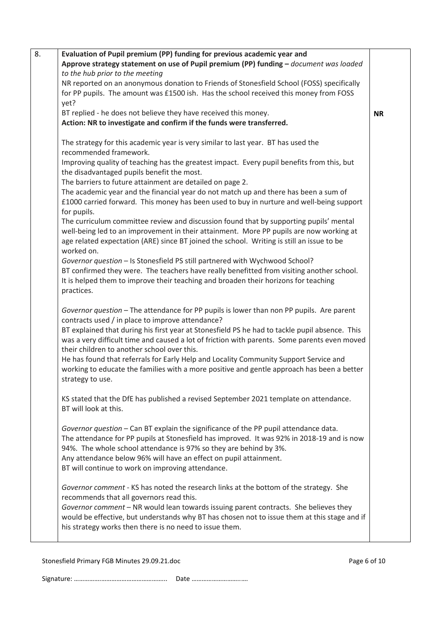| 8. | Evaluation of Pupil premium (PP) funding for previous academic year and                        |           |
|----|------------------------------------------------------------------------------------------------|-----------|
|    | Approve strategy statement on use of Pupil premium (PP) funding - document was loaded          |           |
|    | to the hub prior to the meeting                                                                |           |
|    | NR reported on an anonymous donation to Friends of Stonesfield School (FOSS) specifically      |           |
|    | for PP pupils. The amount was £1500 ish. Has the school received this money from FOSS          |           |
|    | yet?                                                                                           |           |
|    | BT replied - he does not believe they have received this money.                                | <b>NR</b> |
|    | Action: NR to investigate and confirm if the funds were transferred.                           |           |
|    |                                                                                                |           |
|    | The strategy for this academic year is very similar to last year. BT has used the              |           |
|    | recommended framework.                                                                         |           |
|    | Improving quality of teaching has the greatest impact. Every pupil benefits from this, but     |           |
|    | the disadvantaged pupils benefit the most.                                                     |           |
|    | The barriers to future attainment are detailed on page 2.                                      |           |
|    | The academic year and the financial year do not match up and there has been a sum of           |           |
|    | £1000 carried forward. This money has been used to buy in nurture and well-being support       |           |
|    | for pupils.                                                                                    |           |
|    | The curriculum committee review and discussion found that by supporting pupils' mental         |           |
|    | well-being led to an improvement in their attainment. More PP pupils are now working at        |           |
|    | age related expectation (ARE) since BT joined the school. Writing is still an issue to be      |           |
|    | worked on.                                                                                     |           |
|    | Governor question - Is Stonesfield PS still partnered with Wychwood School?                    |           |
|    | BT confirmed they were. The teachers have really benefitted from visiting another school.      |           |
|    | It is helped them to improve their teaching and broaden their horizons for teaching            |           |
|    | practices.                                                                                     |           |
|    |                                                                                                |           |
|    | Governor question - The attendance for PP pupils is lower than non PP pupils. Are parent       |           |
|    | contracts used / in place to improve attendance?                                               |           |
|    | BT explained that during his first year at Stonesfield PS he had to tackle pupil absence. This |           |
|    | was a very difficult time and caused a lot of friction with parents. Some parents even moved   |           |
|    | their children to another school over this.                                                    |           |
|    | He has found that referrals for Early Help and Locality Community Support Service and          |           |
|    | working to educate the families with a more positive and gentle approach has been a better     |           |
|    | strategy to use.                                                                               |           |
|    |                                                                                                |           |
|    | KS stated that the DfE has published a revised September 2021 template on attendance.          |           |
|    | BT will look at this.                                                                          |           |
|    |                                                                                                |           |
|    | Governor question - Can BT explain the significance of the PP pupil attendance data.           |           |
|    | The attendance for PP pupils at Stonesfield has improved. It was 92% in 2018-19 and is now     |           |
|    | 94%. The whole school attendance is 97% so they are behind by 3%.                              |           |
|    | Any attendance below 96% will have an effect on pupil attainment.                              |           |
|    | BT will continue to work on improving attendance.                                              |           |
|    |                                                                                                |           |
|    | Governor comment - KS has noted the research links at the bottom of the strategy. She          |           |
|    | recommends that all governors read this.                                                       |           |
|    | Governor comment - NR would lean towards issuing parent contracts. She believes they           |           |
|    | would be effective, but understands why BT has chosen not to issue them at this stage and if   |           |
|    | his strategy works then there is no need to issue them.                                        |           |
|    |                                                                                                |           |
|    |                                                                                                |           |

Stonesfield Primary FGB Minutes 29.09.21.doc Page 6 of 10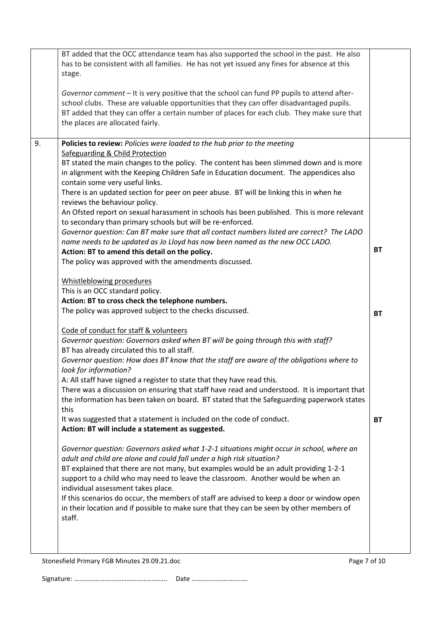|    | BT added that the OCC attendance team has also supported the school in the past. He also<br>has to be consistent with all families. He has not yet issued any fines for absence at this<br>stage.                                                                                                                                                 |           |
|----|---------------------------------------------------------------------------------------------------------------------------------------------------------------------------------------------------------------------------------------------------------------------------------------------------------------------------------------------------|-----------|
|    | Governor comment - It is very positive that the school can fund PP pupils to attend after-<br>school clubs. These are valuable opportunities that they can offer disadvantaged pupils.<br>BT added that they can offer a certain number of places for each club. They make sure that<br>the places are allocated fairly.                          |           |
| 9. | Policies to review: Policies were loaded to the hub prior to the meeting                                                                                                                                                                                                                                                                          |           |
|    | Safeguarding & Child Protection<br>BT stated the main changes to the policy. The content has been slimmed down and is more<br>in alignment with the Keeping Children Safe in Education document. The appendices also<br>contain some very useful links.<br>There is an updated section for peer on peer abuse. BT will be linking this in when he |           |
|    | reviews the behaviour policy.<br>An Ofsted report on sexual harassment in schools has been published. This is more relevant                                                                                                                                                                                                                       |           |
|    | to secondary than primary schools but will be re-enforced.                                                                                                                                                                                                                                                                                        |           |
|    | Governor question: Can BT make sure that all contact numbers listed are correct? The LADO<br>name needs to be updated as Jo Lloyd has now been named as the new OCC LADO.<br>Action: BT to amend this detail on the policy.                                                                                                                       | <b>BT</b> |
|    | The policy was approved with the amendments discussed.                                                                                                                                                                                                                                                                                            |           |
|    |                                                                                                                                                                                                                                                                                                                                                   |           |
|    | Whistleblowing procedures                                                                                                                                                                                                                                                                                                                         |           |
|    | This is an OCC standard policy.                                                                                                                                                                                                                                                                                                                   |           |
|    | Action: BT to cross check the telephone numbers.<br>The policy was approved subject to the checks discussed.                                                                                                                                                                                                                                      |           |
|    |                                                                                                                                                                                                                                                                                                                                                   | <b>BT</b> |
|    | Code of conduct for staff & volunteers                                                                                                                                                                                                                                                                                                            |           |
|    | Governor question: Governors asked when BT will be going through this with staff?                                                                                                                                                                                                                                                                 |           |
|    | BT has already circulated this to all staff.                                                                                                                                                                                                                                                                                                      |           |
|    | Governor question: How does BT know that the staff are aware of the obligations where to<br>look for information?                                                                                                                                                                                                                                 |           |
|    | A: All staff have signed a register to state that they have read this.                                                                                                                                                                                                                                                                            |           |
|    | There was a discussion on ensuring that staff have read and understood. It is important that                                                                                                                                                                                                                                                      |           |
|    | the information has been taken on board. BT stated that the Safeguarding paperwork states<br>this                                                                                                                                                                                                                                                 |           |
|    | It was suggested that a statement is included on the code of conduct.                                                                                                                                                                                                                                                                             | <b>BT</b> |
|    | Action: BT will include a statement as suggested.                                                                                                                                                                                                                                                                                                 |           |
|    | Governor question: Governors asked what 1-2-1 situations might occur in school, where an                                                                                                                                                                                                                                                          |           |
|    | adult and child are alone and could fall under a high risk situation?                                                                                                                                                                                                                                                                             |           |
|    | BT explained that there are not many, but examples would be an adult providing 1-2-1                                                                                                                                                                                                                                                              |           |
|    | support to a child who may need to leave the classroom. Another would be when an                                                                                                                                                                                                                                                                  |           |
|    | individual assessment takes place.                                                                                                                                                                                                                                                                                                                |           |
|    | If this scenarios do occur, the members of staff are advised to keep a door or window open<br>in their location and if possible to make sure that they can be seen by other members of<br>staff.                                                                                                                                                  |           |
|    |                                                                                                                                                                                                                                                                                                                                                   |           |
|    |                                                                                                                                                                                                                                                                                                                                                   |           |
|    |                                                                                                                                                                                                                                                                                                                                                   |           |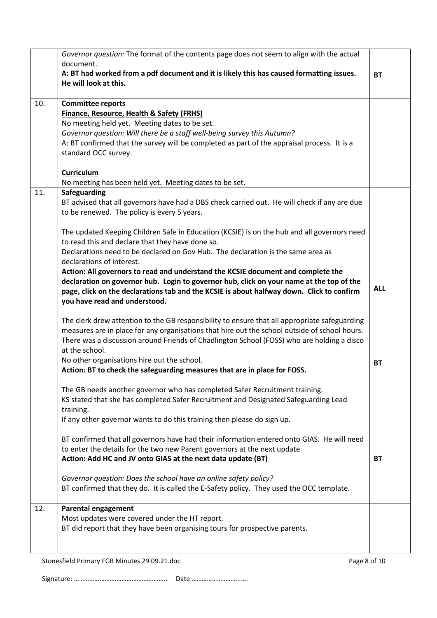|     | Governor question: The format of the contents page does not seem to align with the actual<br>document.<br>A: BT had worked from a pdf document and it is likely this has caused formatting issues.<br>He will look at this.                                                                                                                       | <b>BT</b>  |
|-----|---------------------------------------------------------------------------------------------------------------------------------------------------------------------------------------------------------------------------------------------------------------------------------------------------------------------------------------------------|------------|
| 10. | <b>Committee reports</b><br><b>Finance, Resource, Health &amp; Safety (FRHS)</b><br>No meeting held yet. Meeting dates to be set.<br>Governor question: Will there be a staff well-being survey this Autumn?<br>A: BT confirmed that the survey will be completed as part of the appraisal process. It is a<br>standard OCC survey.<br>Curriculum |            |
|     | No meeting has been held yet. Meeting dates to be set.                                                                                                                                                                                                                                                                                            |            |
| 11. | Safeguarding<br>BT advised that all governors have had a DBS check carried out. He will check if any are due<br>to be renewed. The policy is every 5 years.                                                                                                                                                                                       |            |
|     | The updated Keeping Children Safe in Education (KCSIE) is on the hub and all governors need<br>to read this and declare that they have done so.<br>Declarations need to be declared on Gov Hub. The declaration is the same area as<br>declarations of interest.                                                                                  |            |
|     | Action: All governors to read and understand the KCSIE document and complete the<br>declaration on governor hub. Login to governor hub, click on your name at the top of the<br>page, click on the declarations tab and the KCSIE is about halfway down. Click to confirm<br>you have read and understood.                                        | <b>ALL</b> |
|     | The clerk drew attention to the GB responsibility to ensure that all appropriate safeguarding<br>measures are in place for any organisations that hire out the school outside of school hours.<br>There was a discussion around Friends of Chadlington School (FOSS) who are holding a disco<br>at the school.                                    |            |
|     | No other organisations hire out the school.<br>Action: BT to check the safeguarding measures that are in place for FOSS.                                                                                                                                                                                                                          | <b>BT</b>  |
|     | The GB needs another governor who has completed Safer Recruitment training.<br>KS stated that she has completed Safer Recruitment and Designated Safeguarding Lead<br>training.                                                                                                                                                                   |            |
|     | If any other governor wants to do this training then please do sign up.                                                                                                                                                                                                                                                                           |            |
|     | BT confirmed that all governors have had their information entered onto GIAS. He will need<br>to enter the details for the two new Parent governors at the next update.<br>Action: Add HC and JV onto GIAS at the next data update (BT)                                                                                                           | <b>BT</b>  |
|     | Governor question: Does the school have an online safety policy?<br>BT confirmed that they do. It is called the E-Safety policy. They used the OCC template.                                                                                                                                                                                      |            |
| 12. | <b>Parental engagement</b><br>Most updates were covered under the HT report.<br>BT did report that they have been organising tours for prospective parents.                                                                                                                                                                                       |            |
|     |                                                                                                                                                                                                                                                                                                                                                   |            |

Stonesfield Primary FGB Minutes 29.09.21.doc example 3 and 20 years of 10 Page 8 of 10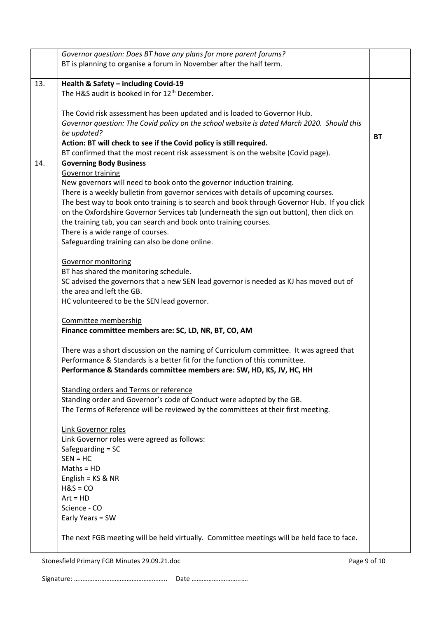|     | Governor question: Does BT have any plans for more parent forums?                           |           |  |  |  |
|-----|---------------------------------------------------------------------------------------------|-----------|--|--|--|
|     | BT is planning to organise a forum in November after the half term.                         |           |  |  |  |
|     |                                                                                             |           |  |  |  |
| 13. | Health & Safety - including Covid-19                                                        |           |  |  |  |
|     | The H&S audit is booked in for 12 <sup>th</sup> December.                                   |           |  |  |  |
|     |                                                                                             |           |  |  |  |
|     | The Covid risk assessment has been updated and is loaded to Governor Hub.                   |           |  |  |  |
|     | Governor question: The Covid policy on the school website is dated March 2020. Should this  |           |  |  |  |
|     | be updated?                                                                                 | <b>BT</b> |  |  |  |
|     | Action: BT will check to see if the Covid policy is still required.                         |           |  |  |  |
|     | BT confirmed that the most recent risk assessment is on the website (Covid page).           |           |  |  |  |
| 14. | <b>Governing Body Business</b>                                                              |           |  |  |  |
|     | <b>Governor training</b>                                                                    |           |  |  |  |
|     | New governors will need to book onto the governor induction training.                       |           |  |  |  |
|     | There is a weekly bulletin from governor services with details of upcoming courses.         |           |  |  |  |
|     | The best way to book onto training is to search and book through Governor Hub. If you click |           |  |  |  |
|     | on the Oxfordshire Governor Services tab (underneath the sign out button), then click on    |           |  |  |  |
|     | the training tab, you can search and book onto training courses.                            |           |  |  |  |
|     | There is a wide range of courses.                                                           |           |  |  |  |
|     | Safeguarding training can also be done online.                                              |           |  |  |  |
|     |                                                                                             |           |  |  |  |
|     | <b>Governor monitoring</b>                                                                  |           |  |  |  |
|     | BT has shared the monitoring schedule.                                                      |           |  |  |  |
|     | SC advised the governors that a new SEN lead governor is needed as KJ has moved out of      |           |  |  |  |
|     | the area and left the GB.                                                                   |           |  |  |  |
|     | HC volunteered to be the SEN lead governor.                                                 |           |  |  |  |
|     |                                                                                             |           |  |  |  |
|     | Committee membership                                                                        |           |  |  |  |
|     | Finance committee members are: SC, LD, NR, BT, CO, AM                                       |           |  |  |  |
|     |                                                                                             |           |  |  |  |
|     | There was a short discussion on the naming of Curriculum committee. It was agreed that      |           |  |  |  |
|     | Performance & Standards is a better fit for the function of this committee.                 |           |  |  |  |
|     | Performance & Standards committee members are: SW, HD, KS, JV, HC, HH                       |           |  |  |  |
|     |                                                                                             |           |  |  |  |
|     | <b>Standing orders and Terms or reference</b>                                               |           |  |  |  |
|     | Standing order and Governor's code of Conduct were adopted by the GB.                       |           |  |  |  |
|     | The Terms of Reference will be reviewed by the committees at their first meeting.           |           |  |  |  |
|     |                                                                                             |           |  |  |  |
|     | Link Governor roles                                                                         |           |  |  |  |
|     | Link Governor roles were agreed as follows:                                                 |           |  |  |  |
|     | Safeguarding = SC                                                                           |           |  |  |  |
|     | $SEN = HC$                                                                                  |           |  |  |  |
|     | $Maths = HD$                                                                                |           |  |  |  |
|     | English = $KS & NR$                                                                         |           |  |  |  |
|     | $H&S = CO$                                                                                  |           |  |  |  |
|     | $Art = HD$                                                                                  |           |  |  |  |
|     | Science - CO                                                                                |           |  |  |  |
|     | Early Years = SW                                                                            |           |  |  |  |
|     |                                                                                             |           |  |  |  |
|     | The next FGB meeting will be held virtually. Committee meetings will be held face to face.  |           |  |  |  |
|     |                                                                                             |           |  |  |  |
|     |                                                                                             |           |  |  |  |

Stonesfield Primary FGB Minutes 29.09.21.doc extends the page 9 of 10 Page 9 of 10